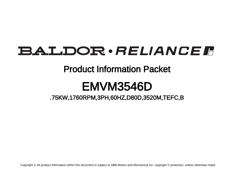# BALDOR · RELIANCE F

# Product Information Packet

# EMVM3546D

.75KW,1760RPM,3PH,60HZ,D80D,3520M,TEFC,B

Copyright © All product information within this document is subject to ABB Motors and Mechanical Inc. copyright © protection, unless otherwise noted.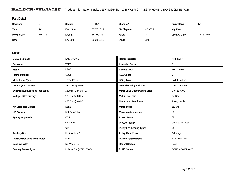# BALDOR · RELIANCE F Product Information Packet: EMVM3546D - .75KW,1760RPM,3PH,60HZ,D80D,3520M,TEFC,B

| <b>Part Detail</b> |        |             |            |             |        |                      |            |  |  |
|--------------------|--------|-------------|------------|-------------|--------|----------------------|------------|--|--|
| Revision:          |        | Status:     | PRD/A      | Change #:   |        | Proprietary:         | No         |  |  |
| Type:              | AC     | Elec. Spec: | 35WGL315   | CD Diagram: | CD0005 | Mfg Plant:           |            |  |  |
| Mech. Spec:        | 35Q176 | Layout:     | 35LYQ176   | Poles:      | 04     | <b>Created Date:</b> | 12-15-2015 |  |  |
| Base:              | N      | Eff. Date:  | 09-28-2018 | Leads:      | 9#18   |                      |            |  |  |

| <b>Specs</b>                           |                         |                                 |                        |
|----------------------------------------|-------------------------|---------------------------------|------------------------|
| <b>Catalog Number:</b>                 | EMVM3546D               | <b>Heater Indicator:</b>        | No Heater              |
| Enclosure:                             | <b>TEFC</b>             | <b>Insulation Class:</b>        | F                      |
| Frame:                                 | D80D                    | <b>Inverter Code:</b>           | Not Inverter           |
| <b>Frame Material:</b>                 | Steel                   | <b>KVA Code:</b>                |                        |
| Motor Letter Type:                     | Three Phase             | <b>Lifting Lugs:</b>            | No Lifting Lugs        |
| Output @ Frequency:                    | .750 KW @ 60 HZ         | Locked Bearing Indicator:       | Locked Bearing         |
| Synchronous Speed @ Frequency:         | 1800 RPM @ 60 HZ        | Motor Lead Quantity/Wire Size:  | 9 @ 18 AWG             |
| Voltage @ Frequency:                   | 230.0 V @ 60 HZ         | <b>Motor Lead Exit:</b>         | Ko Box                 |
|                                        | 460.0 V @ 60 HZ         | <b>Motor Lead Termination:</b>  | Flying Leads           |
| XP Class and Group:                    | None                    | Motor Type:                     | 3520M                  |
| <b>XP Division:</b>                    | Not Applicable          | <b>Mounting Arrangement:</b>    | B <sub>5</sub>         |
| <b>Agency Approvals:</b>               | <b>CSA</b>              | <b>Power Factor:</b>            | 71                     |
|                                        | <b>CSA EEV</b>          | <b>Product Family:</b>          | <b>General Purpose</b> |
|                                        | UR.                     | <b>Pulley End Bearing Type:</b> | Ball                   |
| <b>Auxillary Box:</b>                  | No Auxillary Box        | <b>Pulley Face Code:</b>        | D-Flange               |
| <b>Auxillary Box Lead Termination:</b> | None                    | <b>Pulley Shaft Indicator:</b>  | Tapped & Key           |
| <b>Base Indicator:</b>                 | No Mounting             | <b>Rodent Screen:</b>           | None                   |
| <b>Bearing Grease Type:</b>            | Polyrex EM (-20F +300F) | <b>RoHS Status:</b>             | <b>ROHS COMPLIANT</b>  |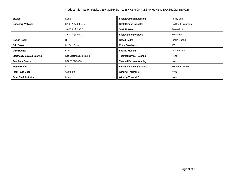| Blower:                               | None                      | <b>Shaft Extension Location:</b>   | Pulley End          |
|---------------------------------------|---------------------------|------------------------------------|---------------------|
| Current @ Voltage:                    | 3.100 A @ 208.0 V         | <b>Shaft Ground Indicator:</b>     | No Shaft Grounding  |
|                                       | 3.000 A @ 230.0 V         | <b>Shaft Rotation:</b>             | Reversible          |
|                                       | 1.500 A @ 460.0 V         | <b>Shaft Slinger Indicator:</b>    | No Slinger          |
| Design Code:                          | В                         | <b>Speed Code:</b>                 | Single Speed        |
| Drip Cover:                           | No Drip Cover             | <b>Motor Standards:</b>            | IEC.                |
| Duty Rating:                          | <b>CONT</b>               | <b>Starting Method:</b>            | Direct on line      |
| <b>Electrically Isolated Bearing:</b> | Not Electrically Isolated | Thermal Device - Bearing:          | None                |
| <b>Feedback Device:</b>               | <b>NO FEEDBACK</b>        | <b>Thermal Device - Winding:</b>   | None                |
| Frame Prefix:                         | D                         | <b>Vibration Sensor Indicator:</b> | No Vibration Sensor |
| <b>Front Face Code:</b>               | Standard                  | <b>Winding Thermal 1:</b>          | None                |
| Front Shaft Indicator:                | None                      | <b>Winding Thermal 2:</b>          | None                |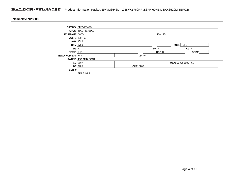## BALDOR · RELIANCE F Product Information Packet: EMVM3546D - .75KW,1760RPM,3PH,60HZ,D80D,3520M,TEFC,B

| Nameplate NP3386L     |                                        |                 |                    |                   |  |  |
|-----------------------|----------------------------------------|-----------------|--------------------|-------------------|--|--|
|                       | CAT.NO. EMVM3546D                      |                 |                    |                   |  |  |
|                       | SPEC. 35Q176L315G1                     |                 |                    |                   |  |  |
| <b>IEC FRAME D80D</b> | $KW$ .75                               |                 |                    |                   |  |  |
|                       | <b>VOLTS</b> 230/460                   |                 |                    |                   |  |  |
|                       | AMP $3/1.5$                            |                 |                    |                   |  |  |
|                       | <b>RPM</b> 1760                        |                 |                    | <b>ENCL</b> TEFC  |  |  |
|                       | $HZ$ 60                                |                 | PH 3               | CL F              |  |  |
| <b>SER.F.</b> 1.15    |                                        |                 | $DES$ <sub>B</sub> | CODE <sup>L</sup> |  |  |
| NEMA-NOM-EFF 85.5     |                                        |                 | I.P. 54            |                   |  |  |
|                       | RATING 40C AMB-CONT                    |                 |                    |                   |  |  |
|                       | $CC$ 010A<br><b>USABLE AT 208V 3.1</b> |                 |                    |                   |  |  |
|                       | $DE$ 6205                              | <b>ODE</b> 6203 |                    |                   |  |  |
| SER. $#$              |                                        |                 |                    |                   |  |  |
|                       | SFA 3.4/1.7                            |                 |                    |                   |  |  |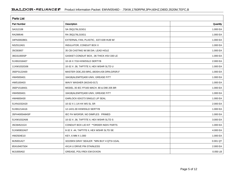| <b>Parts List</b>  |                                              |            |  |  |  |  |
|--------------------|----------------------------------------------|------------|--|--|--|--|
| <b>Part Number</b> | Description                                  | Quantity   |  |  |  |  |
| SA312108           | SA 35Q176L315G1                              | 1.000 EA   |  |  |  |  |
| RA299546           | RA 35Q176L315G1                              | 1.000 EA   |  |  |  |  |
| 34FN3002B01        | EXTERNAL FAN, PLASTIC, .637/.639 HUB W/      | 1.000 EA   |  |  |  |  |
| NS2512A01          | <b>INSULATOR, CONDUIT BOX X</b>              | 1.000 EA   |  |  |  |  |
| 35CB3007           | 35 CB CASTING W/.88 DIA. LEAD HOLE           | 1.000 EA   |  |  |  |  |
| 36GS1000SP         | GASKET-CONDUIT BOX, .06 THICK #SV-330 LE     | 1.000 EA   |  |  |  |  |
| 51XB1016A07        | 10-16 X 7/16 HXWSSLD SERTYB                  | 2.000 EA   |  |  |  |  |
| 11XW1032G06        | 10-32 X .38, TAPTITE II, HEX WSHR SLTD U     | 1.000 EA   |  |  |  |  |
| 35EP3122A00        | MASTER ODE, 203 BRG, 683SH, #26 DRN, GRSR, F | 1.000 EA   |  |  |  |  |
| HW4500A01          | 1641B(ALEMITE)400 UNIV, GREASE FITT          | 1.000 EA   |  |  |  |  |
| HW5100A03          | WAVY WASHER (W1543-017)                      | 1.000 EA   |  |  |  |  |
| 35EP1518A01        | MODEL 35 IEC FF165 MACH. 80 & D90 205 BR     | 1.000 EA   |  |  |  |  |
| HW4500A01          | 1641B(ALEMITE)400 UNIV, GREASE FITT          | 1.000 EA   |  |  |  |  |
| HW4600A30          | GARLOCK 63X273 SINGLE LIP SEAL               | 1.000 EA   |  |  |  |  |
| 51XN1032A20        | 10-32 X 1 1/4 HX WS SL SR                    | 2.000 EA   |  |  |  |  |
| 51XB1214A16        | 12-14X1.00 HXWSSLD SERTYB                    | 1.000 EA   |  |  |  |  |
| 35FH4005A84SP      | IEC FH W/GRSR, NO DIMPLES PRIMED             | 1.000 EA   |  |  |  |  |
| 51XW1032A06        | 10-32 X .38, TAPTITE II, HEX WSHR SLTD S     | 3.000 EA   |  |  |  |  |
| 35CB4521GX         | CONDUIT BOX LID KIT ** ORDER INDIV PARTS     | 1.000 EA   |  |  |  |  |
| 51XW0832A07        | 8-32 X .44, TAPTITE II, HEX WSHR SLTD SE     | 4.000 EA   |  |  |  |  |
| HW2504E10          | KEY, 6 MM X 1.000                            | 1.000 EA   |  |  |  |  |
| MJ5001A27          | 32220KN GRAY SEALER *MIN BUY 4 QTS=1GAL      | 0.001 QT   |  |  |  |  |
| 85XU0407S04        | 4X1/4 U DRIVE PIN STAINLESS                  | 2.000 EA   |  |  |  |  |
| MJ1000A02          | GREASE, POLYREX EM EXXON                     | $0.050$ LB |  |  |  |  |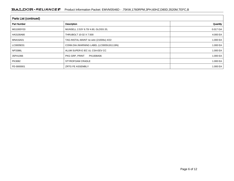## BALDOR · RELIANCE F Product Information Packet: EMVM3546D - .75KW,1760RPM,3PH,60HZ,D80D,3520M,TEFC,B

| <b>Parts List (continued)</b> |                                          |              |  |  |  |  |
|-------------------------------|------------------------------------------|--------------|--|--|--|--|
| <b>Part Number</b>            | Description                              | Quantity     |  |  |  |  |
| MG1000Y03                     | MUNSELL 2.53Y 6.70/ 4.60, GLOSS 20,      | $0.017$ GA   |  |  |  |  |
| HA3100A80                     | THRUBOLT 10-32 X 7.500                   | 4.000 EA $ $ |  |  |  |  |
| MN416A01                      | TAG-INSTAL-MAINT no wire (2100/bx) 4/22  | 1.000 EA $ $ |  |  |  |  |
| LC0005E01                     | CONN.DIA./WARNING LABEL (LC0005/LB1119N) | 1.000 EA     |  |  |  |  |
| NP3386L                       | ALUM SUPER-E IEC UL CSA-EEV CC           | 1.000 EA     |  |  |  |  |
| 35PA1066                      | PKG GRP, PRINT<br>PK1008A06              | 1.000 EA $ $ |  |  |  |  |
| PK3082                        | STYROFOAM CRADLE                         | 1.000 EA     |  |  |  |  |
| FE-0000001                    | <b>ZRTG FE ASSEMBLY</b>                  | 1.000 EA $ $ |  |  |  |  |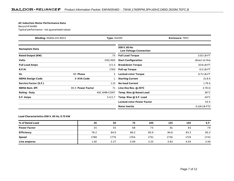#### **AC Induction Motor Performance Data**

Record # 54480Typical performance - not guaranteed values

|                          | <b>Winding: 35WGL315-R013</b><br><b>Type: 3520M</b> |              | <b>Enclosure: TEFC</b>                         |                |  |
|--------------------------|-----------------------------------------------------|--------------|------------------------------------------------|----------------|--|
| <b>Nameplate Data</b>    |                                                     |              | 208 V, 60 Hz:<br><b>Low Voltage Connection</b> |                |  |
| <b>Rated Output (KW)</b> |                                                     | .75          | <b>Full Load Torque</b>                        | 3.02 LB-FT     |  |
| <b>Volts</b>             |                                                     | 230/460      | <b>Start Configuration</b>                     | direct on line |  |
| <b>Full Load Amps</b>    |                                                     | 3/1.5        | <b>Breakdown Torque</b>                        | 10.8 LB-FT     |  |
| <b>R.P.M.</b>            |                                                     | 1760         | <b>Pull-up Torque</b>                          | $6.5$ LB-FT    |  |
| Hz                       | 60 Phase                                            | 3            | <b>Locked-rotor Torque</b>                     | 6.71 LB-FT     |  |
| <b>NEMA Design Code</b>  | <b>B KVA Code</b>                                   |              | <b>Starting Current</b>                        | 21.8 A         |  |
| Service Factor (S.F.)    |                                                     | 1.15         | <b>No-load Current</b>                         | 1.79A          |  |
| <b>NEMA Nom. Eff.</b>    | 85.5 Power Factor                                   | 71           | Line-line Res. @ 25°C                          | $3.78\Omega$   |  |
| <b>Rating - Duty</b>     |                                                     | 40C AMB-CONT | Temp. Rise @ Rated Load                        | $36^{\circ}$ C |  |
| S.F. Amps                |                                                     | 3.4/1.7      | Temp. Rise @ S.F. Load                         | $44^{\circ}$ C |  |
|                          |                                                     |              | <b>Locked-rotor Power Factor</b>               | 53.5           |  |
|                          |                                                     |              | Rotor inertia                                  | 0.118 LB-FT2   |  |

### **Load Characteristics 208 V, 60 Hz, 0.75 KW**

| % of Rated Load     | 25   | 50   | 75   | 100  | 125  | 150  | S.F. |
|---------------------|------|------|------|------|------|------|------|
| <b>Power Factor</b> | 35   | 55   | 68   | 75   | 81   | 83   | 79   |
| <b>Efficiency</b>   | 78.2 | 84.9 | 86.2 | 85.9 | 84.8 | 83.3 | 85.2 |
| <b>Speed</b>        | 1788 | 1776 | 1764 | 1751 | 1736 | 1719 | 1743 |
| Line amperes        | 1.92 | 2.27 | 2.69 | 3.22 | 3.83 | 4.54 | 3.49 |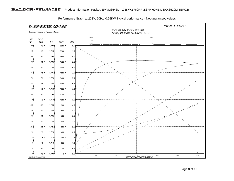

Performance Graph at 208V, 60Hz, 0.75KW Typical performance - Not guaranteed values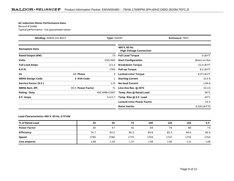#### **AC Induction Motor Performance Data**

Record # 54482Typical performance - not guaranteed values

| <b>Winding: 35WGL315-R013</b><br><b>Type: 3520M</b> |                   | <b>Enclosure: TEFC</b> |                                                 |                |
|-----------------------------------------------------|-------------------|------------------------|-------------------------------------------------|----------------|
| <b>Nameplate Data</b>                               |                   |                        | 460 V, 60 Hz:<br><b>High Voltage Connection</b> |                |
| <b>Rated Output (KW)</b>                            |                   | .75                    | <b>Full Load Torque</b>                         | 3 LB-FT        |
| <b>Volts</b>                                        |                   | 230/460                | <b>Start Configuration</b>                      | direct on line |
| <b>Full Load Amps</b>                               |                   | 3/1.5                  | <b>Breakdown Torque</b>                         | 13.3 LB-FT     |
| <b>R.P.M.</b>                                       |                   | 1760                   | <b>Pull-up Torque</b>                           | 8.1 LB-FT      |
| Hz                                                  | 60 Phase          | 3                      | <b>Locked-rotor Torque</b>                      | 8.37 LB-FT     |
| <b>NEMA Design Code</b>                             | <b>B KVA Code</b> |                        | <b>Starting Current</b>                         | 12.2A          |
| <b>Service Factor (S.F.)</b>                        |                   | 1.15                   | <b>No-load Current</b>                          | 1.04A          |
| <b>NEMA Nom. Eff.</b>                               | 85.5 Power Factor | 71                     | Line-line Res. @ 25°C                           | $15.1 \Omega$  |
| <b>Rating - Duty</b>                                |                   | 40C AMB-CONT           | Temp. Rise @ Rated Load                         | $36^{\circ}$ C |
| S.F. Amps                                           |                   | 3.4/1.7                | Temp. Rise @ S.F. Load                          | $42^{\circ}$ C |
|                                                     |                   |                        | <b>Locked-rotor Power Factor</b>                | 53.5           |
|                                                     |                   |                        | Rotor inertia                                   | 0.118 LB-FT2   |

### **Load Characteristics 460 V, 60 Hz, 0.75 KW**

| % of Rated Load     | 25   | 50   | 75   | 100  | 125  | 150  | S.F. |
|---------------------|------|------|------|------|------|------|------|
| <b>Power Factor</b> | 30   | 47   | 61   | 69   | 76   | 80   | 75   |
| <b>Efficiency</b>   | 74.7 | 83.2 | 85.5 | 85.8 | 85.3 | 84.6 | 85.4 |
| <b>Speed</b>        | 1790 | 1780 | 1770 | 1759 | 1747 | 1735 | 1754 |
| Line amperes        | 1.08 | 1.22 | 1.37 | 1.58 | 1.82 | 2.11 | 1.69 |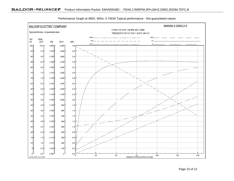

Performance Graph at 460V, 60Hz, 0.75KW Typical performance - Not guaranteed values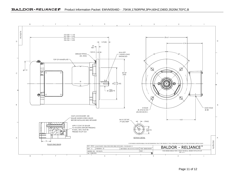